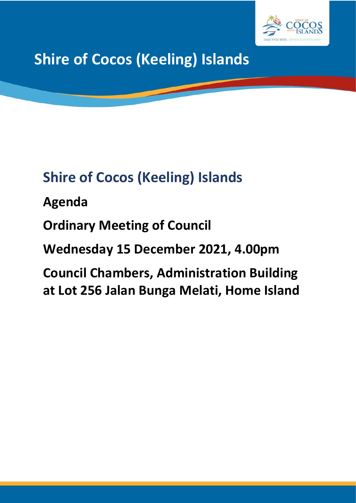

**Shire of Cocos (Keeling) Islands**

# **Shire of Cocos (Keeling) Islands**

**Agenda**

**Ordinary Meeting of Council**

**Wednesday 15 December 2021, 4.00pm**

**Council Chambers, Administration Building at Lot 256 Jalan Bunga Melati, Home Island**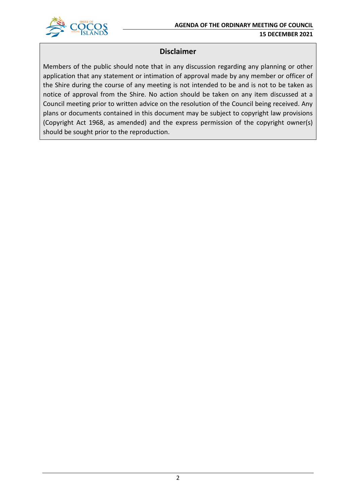



## **Disclaimer**

Members of the public should note that in any discussion regarding any planning or other application that any statement or intimation of approval made by any member or officer of the Shire during the course of any meeting is not intended to be and is not to be taken as notice of approval from the Shire. No action should be taken on any item discussed at a Council meeting prior to written advice on the resolution of the Council being received. Any plans or documents contained in this document may be subject to copyright law provisions (Copyright Act 1968, as amended) and the express permission of the copyright owner(s) should be sought prior to the reproduction.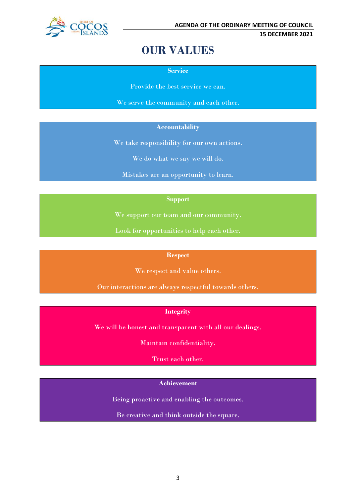

## **OUR VALUES**

**Service**

Provide the best service we can.

We serve the community and each other.

#### **Accountability**

We take responsibility for our own actions.

We do what we say we will do.

Mistakes are an opportunity to learn.

**Support**

We support our team and our community.

Look for opportunities to help each other.

#### **Respect**

We respect and value others.

Our interactions are always respectful towards others.

## **Integrity**

We will be honest and transparent with all our dealings.

Maintain confidentiality.

Trust each other.

#### **Achievement**

Being proactive and enabling the outcomes.

Be creative and think outside the square.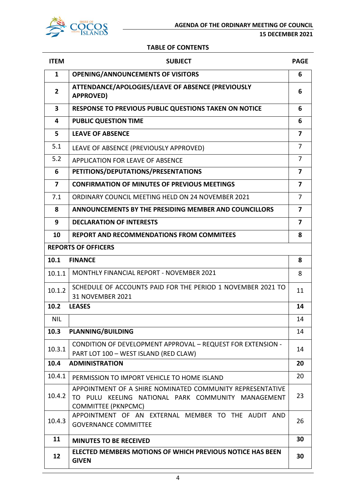

**15 DECEMBER 2021**

#### **TABLE OF CONTENTS**

| <b>ITEM</b>             | <b>SUBJECT</b>                                                                                                                                | <b>PAGE</b>             |  |
|-------------------------|-----------------------------------------------------------------------------------------------------------------------------------------------|-------------------------|--|
| $\mathbf{1}$            | <b>OPENING/ANNOUNCEMENTS OF VISITORS</b>                                                                                                      | 6                       |  |
| $\overline{2}$          | ATTENDANCE/APOLOGIES/LEAVE OF ABSENCE (PREVIOUSLY<br><b>APPROVED)</b>                                                                         |                         |  |
| $\overline{\mathbf{3}}$ | <b>RESPONSE TO PREVIOUS PUBLIC QUESTIONS TAKEN ON NOTICE</b>                                                                                  | 6                       |  |
| 4                       | <b>PUBLIC QUESTION TIME</b>                                                                                                                   | 6                       |  |
| 5                       | <b>LEAVE OF ABSENCE</b>                                                                                                                       | $\overline{\mathbf{z}}$ |  |
| 5.1                     | LEAVE OF ABSENCE (PREVIOUSLY APPROVED)                                                                                                        | $\overline{7}$          |  |
| 5.2                     | APPLICATION FOR LEAVE OF ABSENCE                                                                                                              | $\overline{7}$          |  |
| 6                       | PETITIONS/DEPUTATIONS/PRESENTATIONS                                                                                                           | $\overline{7}$          |  |
| $\overline{\mathbf{z}}$ | <b>CONFIRMATION OF MINUTES OF PREVIOUS MEETINGS</b>                                                                                           | $\overline{\mathbf{z}}$ |  |
| 7.1                     | ORDINARY COUNCIL MEETING HELD ON 24 NOVEMBER 2021                                                                                             | $\overline{7}$          |  |
| 8                       | ANNOUNCEMENTS BY THE PRESIDING MEMBER AND COUNCILLORS                                                                                         | $\overline{\mathbf{z}}$ |  |
| 9                       | <b>DECLARATION OF INTERESTS</b>                                                                                                               | 7                       |  |
| 10                      | <b>REPORT AND RECOMMENDATIONS FROM COMMITEES</b>                                                                                              | 8                       |  |
|                         | <b>REPORTS OF OFFICERS</b>                                                                                                                    |                         |  |
| 10.1                    | <b>FINANCE</b>                                                                                                                                | 8                       |  |
| 10.1.1                  | <b>MONTHLY FINANCIAL REPORT - NOVEMBER 2021</b>                                                                                               | 8                       |  |
| 10.1.2                  | SCHEDULE OF ACCOUNTS PAID FOR THE PERIOD 1 NOVEMBER 2021 TO<br><b>31 NOVEMBER 2021</b>                                                        | 11                      |  |
| 10.2                    | <b>LEASES</b>                                                                                                                                 | 14                      |  |
| <b>NIL</b>              |                                                                                                                                               | 14                      |  |
| 10.3                    | <b>PLANNING/BUILDING</b>                                                                                                                      | 14                      |  |
| 10.3.1                  | CONDITION OF DEVELOPMENT APPROVAL - REQUEST FOR EXTENSION -<br>PART LOT 100 - WEST ISLAND (RED CLAW)                                          | 14                      |  |
| 10.4                    | <b>ADMINISTRATION</b>                                                                                                                         | 20                      |  |
| 10.4.1                  | PERMISSION TO IMPORT VEHICLE TO HOME ISLAND                                                                                                   | 20                      |  |
| 10.4.2                  | APPOINTMENT OF A SHIRE NOMINATED COMMUNITY REPRESENTATIVE<br>TO PULU KEELING NATIONAL PARK COMMUNITY MANAGEMENT<br><b>COMMITTEE (PKNPCMC)</b> | 23                      |  |
| 10.4.3                  | APPOINTMENT OF AN EXTERNAL MEMBER TO THE AUDIT AND<br><b>GOVERNANCE COMMITTEE</b>                                                             | 26                      |  |
| 11                      | <b>MINUTES TO BE RECEIVED</b>                                                                                                                 | 30                      |  |
| 12                      | <b>ELECTED MEMBERS MOTIONS OF WHICH PREVIOUS NOTICE HAS BEEN</b><br><b>GIVEN</b>                                                              | 30                      |  |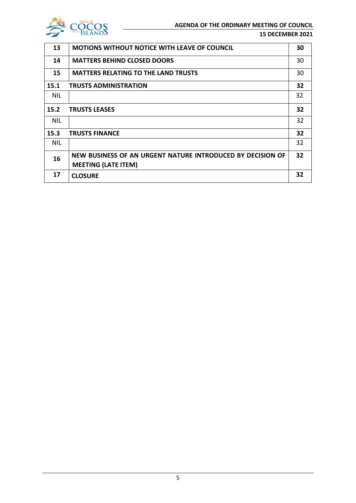

#### **15 DECEMBER 2021**

| 13         | <b>MOTIONS WITHOUT NOTICE WITH LEAVE OF COUNCIL</b>        | 30 |
|------------|------------------------------------------------------------|----|
| 14         | <b>MATTERS BEHIND CLOSED DOORS</b>                         | 30 |
| 15         | <b>MATTERS RELATING TO THE LAND TRUSTS</b>                 | 30 |
| 15.1       | <b>TRUSTS ADMINISTRATION</b>                               | 32 |
| <b>NIL</b> |                                                            | 32 |
| 15.2       | <b>TRUSTS LEASES</b>                                       | 32 |
| <b>NIL</b> |                                                            | 32 |
| 15.3       | <b>TRUSTS FINANCE</b>                                      | 32 |
| <b>NIL</b> |                                                            | 32 |
| 16         | NEW BUSINESS OF AN URGENT NATURE INTRODUCED BY DECISION OF | 32 |
|            | <b>MEETING (LATE ITEM)</b>                                 |    |
| 17         | <b>CLOSURE</b>                                             | 32 |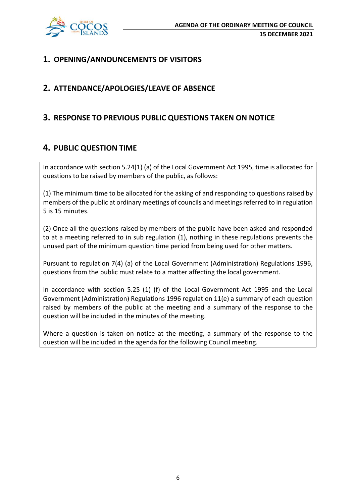

## **1. OPENING/ANNOUNCEMENTS OF VISITORS**

## **2. ATTENDANCE/APOLOGIES/LEAVE OF ABSENCE**

## **3. RESPONSE TO PREVIOUS PUBLIC QUESTIONS TAKEN ON NOTICE**

## **4. PUBLIC QUESTION TIME**

In accordance with section 5.24(1) (a) of the Local Government Act 1995, time is allocated for questions to be raised by members of the public, as follows:

(1) The minimum time to be allocated for the asking of and responding to questions raised by members of the public at ordinary meetings of councils and meetings referred to in regulation 5 is 15 minutes.

(2) Once all the questions raised by members of the public have been asked and responded to at a meeting referred to in sub regulation (1), nothing in these regulations prevents the unused part of the minimum question time period from being used for other matters.

Pursuant to regulation 7(4) (a) of the Local Government (Administration) Regulations 1996, questions from the public must relate to a matter affecting the local government.

In accordance with section 5.25 (1) (f) of the Local Government Act 1995 and the Local Government (Administration) Regulations 1996 regulation 11(e) a summary of each question raised by members of the public at the meeting and a summary of the response to the question will be included in the minutes of the meeting.

Where a question is taken on notice at the meeting, a summary of the response to the question will be included in the agenda for the following Council meeting.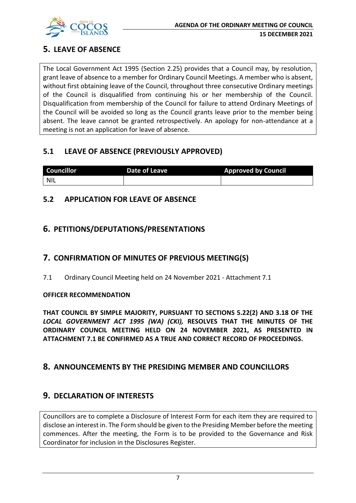

## **5. LEAVE OF ABSENCE**

The Local Government Act 1995 (Section 2.25) provides that a Council may, by resolution, grant leave of absence to a member for Ordinary Council Meetings. A member who is absent, without first obtaining leave of the Council, throughout three consecutive Ordinary meetings of the Council is disqualified from continuing his or her membership of the Council. Disqualification from membership of the Council for failure to attend Ordinary Meetings of the Council will be avoided so long as the Council grants leave prior to the member being absent. The leave cannot be granted retrospectively. An apology for non-attendance at a meeting is not an application for leave of absence.

## **5.1 LEAVE OF ABSENCE (PREVIOUSLY APPROVED)**

| <b>Councillor</b> | Date of Leave | <b>Approved by Council</b> |
|-------------------|---------------|----------------------------|
| <b>NIL</b>        |               |                            |

## **5.2 APPLICATION FOR LEAVE OF ABSENCE**

## **6. PETITIONS/DEPUTATIONS/PRESENTATIONS**

## **7. CONFIRMATION OF MINUTES OF PREVIOUS MEETING(S)**

7.1 Ordinary Council Meeting held on 24 November 2021 - Attachment 7.1

#### **OFFICER RECOMMENDATION**

**THAT COUNCIL BY SIMPLE MAJORITY, PURSUANT TO SECTIONS 5.22(2) AND 3.18 OF THE**  *LOCAL GOVERNMENT ACT 1995 (WA) (CKI),* **RESOLVES THAT THE MINUTES OF THE ORDINARY COUNCIL MEETING HELD ON 24 NOVEMBER 2021, AS PRESENTED IN ATTACHMENT 7.1 BE CONFIRMED AS A TRUE AND CORRECT RECORD OF PROCEEDINGS.**

## **8. ANNOUNCEMENTS BY THE PRESIDING MEMBER AND COUNCILLORS**

## **9. DECLARATION OF INTERESTS**

Councillors are to complete a Disclosure of Interest Form for each item they are required to disclose an interest in. The Form should be given to the Presiding Member before the meeting commences. After the meeting, the Form is to be provided to the Governance and Risk Coordinator for inclusion in the Disclosures Register.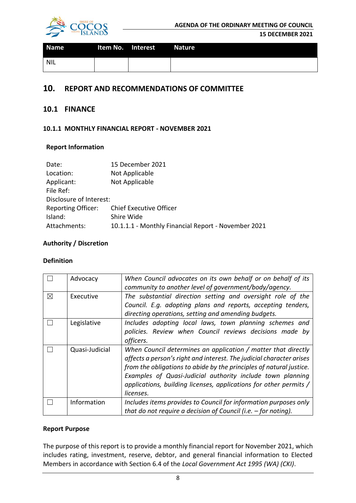

#### **15 DECEMBER 2021**

| <b>Name</b> | Item No. Interest | Nature |
|-------------|-------------------|--------|
| NIL         |                   |        |

## **10. REPORT AND RECOMMENDATIONS OF COMMITTEE**

#### **10.1 FINANCE**

#### **10.1.1 MONTHLY FINANCIAL REPORT - NOVEMBER 2021**

#### **Report Information**

| Date:                     | 15 December 2021                                    |
|---------------------------|-----------------------------------------------------|
| Location:                 | Not Applicable                                      |
| Applicant:                | Not Applicable                                      |
| File Ref:                 |                                                     |
| Disclosure of Interest:   |                                                     |
| <b>Reporting Officer:</b> | <b>Chief Executive Officer</b>                      |
| Island:                   | Shire Wide                                          |
| Attachments:              | 10.1.1.1 - Monthly Financial Report - November 2021 |

#### **Authority / Discretion**

#### **Definition**

|             | Advocacy       | When Council advocates on its own behalf or on behalf of its<br>community to another level of government/body/agency.                                                                                                                                                                                                                                        |
|-------------|----------------|--------------------------------------------------------------------------------------------------------------------------------------------------------------------------------------------------------------------------------------------------------------------------------------------------------------------------------------------------------------|
| $\boxtimes$ | Executive      | The substantial direction setting and oversight role of the<br>Council. E.g. adopting plans and reports, accepting tenders,<br>directing operations, setting and amending budgets.                                                                                                                                                                           |
|             | Legislative    | Includes adopting local laws, town planning schemes and<br>policies. Review when Council reviews decisions made by<br>officers.                                                                                                                                                                                                                              |
|             | Quasi-Judicial | When Council determines an application / matter that directly<br>affects a person's right and interest. The judicial character arises<br>from the obligations to abide by the principles of natural justice.<br>Examples of Quasi-Judicial authority include town planning<br>applications, building licenses, applications for other permits /<br>licenses. |
|             | Information    | Includes items provides to Council for information purposes only<br>that do not require a decision of Council (i.e. $-$ for noting).                                                                                                                                                                                                                         |

#### **Report Purpose**

The purpose of this report is to provide a monthly financial report for November 2021, which includes rating, investment, reserve, debtor, and general financial information to Elected Members in accordance with Section 6.4 of the *Local Government Act 1995 (WA) (CKI)*.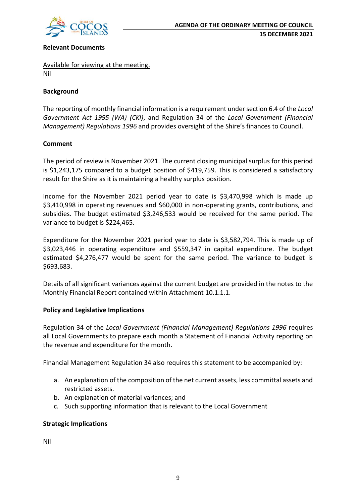

#### **Relevant Documents**

Available for viewing at the meeting. Nil

#### **Background**

The reporting of monthly financial information is a requirement under section 6.4 of the *Local Government Act 1995 (WA) (CKI)*, and Regulation 34 of the *Local Government (Financial Management) Regulations 1996* and provides oversight of the Shire's finances to Council.

#### **Comment**

The period of review is November 2021. The current closing municipal surplus for this period is \$1,243,175 compared to a budget position of \$419,759. This is considered a satisfactory result for the Shire as it is maintaining a healthy surplus position.

Income for the November 2021 period year to date is \$3,470,998 which is made up \$3,410,998 in operating revenues and \$60,000 in non-operating grants, contributions, and subsidies. The budget estimated \$3,246,533 would be received for the same period. The variance to budget is \$224,465.

Expenditure for the November 2021 period year to date is \$3,582,794. This is made up of \$3,023,446 in operating expenditure and \$559,347 in capital expenditure. The budget estimated \$4,276,477 would be spent for the same period. The variance to budget is \$693,683.

Details of all significant variances against the current budget are provided in the notes to the Monthly Financial Report contained within Attachment 10.1.1.1.

#### **Policy and Legislative Implications**

Regulation 34 of the *Local Government (Financial Management) Regulations 1996* requires all Local Governments to prepare each month a Statement of Financial Activity reporting on the revenue and expenditure for the month.

Financial Management Regulation 34 also requires this statement to be accompanied by:

- a. An explanation of the composition of the net current assets, less committal assets and restricted assets.
- b. An explanation of material variances; and
- c. Such supporting information that is relevant to the Local Government

#### **Strategic Implications**

Nil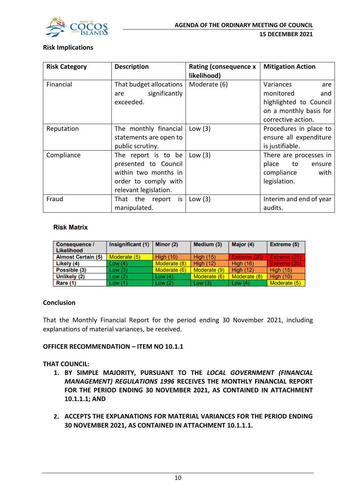

#### **Risk Implications**

| <b>Risk Category</b> | <b>Description</b>                                                                                                   | <b>Rating (consequence x</b><br>likelihood) | <b>Mitigation Action</b>                                                                                       |
|----------------------|----------------------------------------------------------------------------------------------------------------------|---------------------------------------------|----------------------------------------------------------------------------------------------------------------|
| Financial            | That budget allocations<br>significantly<br>are<br>exceeded.                                                         | Moderate (6)                                | Variances<br>are<br>monitored<br>and<br>highlighted to Council<br>on a monthly basis for<br>corrective action. |
| Reputation           | The monthly financial<br>statements are open to<br>public scrutiny.                                                  | Low $(3)$                                   | Procedures in place to<br>ensure all expenditure<br>is justifiable.                                            |
| Compliance           | The report is to be<br>presented to Council<br>within two months in<br>order to comply with<br>relevant legislation. | Low $(3)$                                   | There are processes in<br>place<br>to to<br>ensure<br>compliance<br>with<br>legislation.                       |
| Fraud                | That the report is<br>manipulated.                                                                                   | Low $(3)$                                   | Interim and end of year<br>audits.                                                                             |

#### **Risk Matrix**

| Consequence /<br><b>Likelihood</b> | Insignificant (1) | Minor $(2)$  | Medium (3)       | Major (4)        | Extreme (5)      |
|------------------------------------|-------------------|--------------|------------------|------------------|------------------|
| <b>Almost Certain (5)</b>          | Moderate (5)      | High $(10)$  | <b>High (15)</b> | Extreme (20)     | Extreme (25)     |
| Likely (4)                         | Low(4)            | Moderate (8) | <b>High (12)</b> | <b>High (16)</b> | Extreme (20)     |
| Possible (3)                       | Low(3)            | Moderate (6) | Moderate (9)     | High $(12)$      | <b>High (15)</b> |
| Unlikely (2)                       | Low(2)            | Low $(4)$    | Moderate (6)     | Moderate (8)     | <b>High (10)</b> |
| Rare (1)                           | Low (1)           | Low $(2)$    | Low(3)           | Low $(4)$        | Moderate (5)     |

#### **Conclusion**

That the Monthly Financial Report for the period ending 30 November 2021, including explanations of material variances, be received.

## **OFFICER RECOMMENDATION – ITEM NO 10.1.1**

#### **THAT COUNCIL:**

- **1. BY SIMPLE MAJORITY, PURSUANT TO THE** *LOCAL GOVERNMENT (FINANCIAL MANAGEMENT) REGULATIONS 1996* **RECEIVES THE MONTHLY FINANCIAL REPORT FOR THE PERIOD ENDING 30 NOVEMBER 2021, AS CONTAINED IN ATTACHMENT 10.1.1.1; AND**
- **2. ACCEPTS THE EXPLANATIONS FOR MATERIAL VARIANCES FOR THE PERIOD ENDING 30 NOVEMBER 2021, AS CONTAINED IN ATTACHMENT 10.1.1.1.**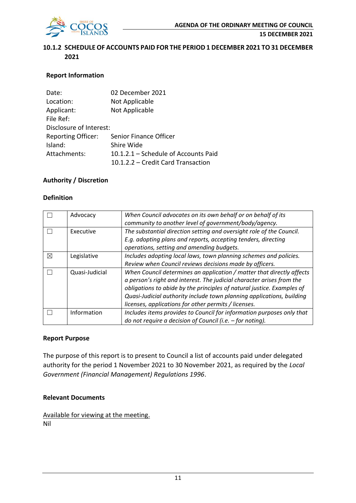

#### **10.1.2 SCHEDULE OF ACCOUNTS PAID FOR THE PERIOD 1 DECEMBER 2021 TO 31 DECEMBER 2021**

#### **Report Information**

| Date:                     | 02 December 2021                     |
|---------------------------|--------------------------------------|
| Location:                 | Not Applicable                       |
| Applicant:                | Not Applicable                       |
| File Ref:                 |                                      |
| Disclosure of Interest:   |                                      |
| <b>Reporting Officer:</b> | Senior Finance Officer               |
| Island:                   | Shire Wide                           |
| Attachments:              | 10.1.2.1 – Schedule of Accounts Paid |
|                           | 10.1.2.2 – Credit Card Transaction   |

#### **Authority / Discretion**

#### **Definition**

|   | Advocacy       | When Council advocates on its own behalf or on behalf of its           |  |  |
|---|----------------|------------------------------------------------------------------------|--|--|
|   |                | community to another level of government/body/agency.                  |  |  |
|   | Executive      | The substantial direction setting and oversight role of the Council.   |  |  |
|   |                | E.g. adopting plans and reports, accepting tenders, directing          |  |  |
|   |                | operations, setting and amending budgets.                              |  |  |
| ⊠ | Legislative    | Includes adopting local laws, town planning schemes and policies.      |  |  |
|   |                | Review when Council reviews decisions made by officers.                |  |  |
|   | Quasi-Judicial | When Council determines an application / matter that directly affects  |  |  |
|   |                | a person's right and interest. The judicial character arises from the  |  |  |
|   |                | obligations to abide by the principles of natural justice. Examples of |  |  |
|   |                | Quasi-Judicial authority include town planning applications, building  |  |  |
|   |                | licenses, applications for other permits / licenses.                   |  |  |
|   | Information    | Includes items provides to Council for information purposes only that  |  |  |
|   |                | do not require a decision of Council (i.e. $-$ for noting).            |  |  |

#### **Report Purpose**

The purpose of this report is to present to Council a list of accounts paid under delegated authority for the period 1 November 2021 to 30 November 2021, as required by the *Local Government (Financial Management) Regulations 1996*.

#### **Relevant Documents**

Available for viewing at the meeting. Nil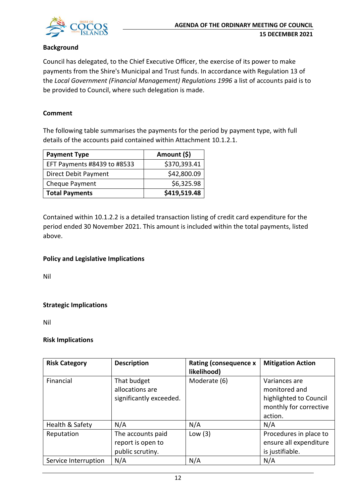

#### **Background**

Council has delegated, to the Chief Executive Officer, the exercise of its power to make payments from the Shire's Municipal and Trust funds. In accordance with Regulation 13 of the *Local Government (Financial Management) Regulations 1996* a list of accounts paid is to be provided to Council, where such delegation is made.

#### **Comment**

The following table summarises the payments for the period by payment type, with full details of the accounts paid contained within Attachment 10.1.2.1.

| <b>Payment Type</b>         | Amount (\$)  |
|-----------------------------|--------------|
| EFT Payments #8439 to #8533 | \$370,393.41 |
| Direct Debit Payment        | \$42,800.09  |
| Cheque Payment              | \$6,325.98   |
| <b>Total Payments</b>       | \$419,519.48 |

Contained within 10.1.2.2 is a detailed transaction listing of credit card expenditure for the period ended 30 November 2021. This amount is included within the total payments, listed above.

#### **Policy and Legislative Implications**

Nil

#### **Strategic Implications**

Nil

#### **Risk Implications**

| <b>Risk Category</b> | <b>Description</b>                                         | <b>Rating (consequence x</b><br>likelihood) | <b>Mitigation Action</b>                                                                      |
|----------------------|------------------------------------------------------------|---------------------------------------------|-----------------------------------------------------------------------------------------------|
| Financial            | That budget<br>allocations are<br>significantly exceeded.  | Moderate (6)                                | Variances are<br>monitored and<br>highlighted to Council<br>monthly for corrective<br>action. |
| Health & Safety      | N/A                                                        | N/A                                         | N/A                                                                                           |
| Reputation           | The accounts paid<br>report is open to<br>public scrutiny. | Low $(3)$                                   | Procedures in place to<br>ensure all expenditure<br>is justifiable.                           |
| Service Interruption | N/A                                                        | N/A                                         | N/A                                                                                           |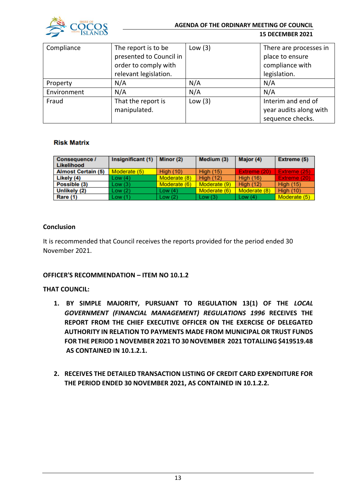

| Compliance<br>The report is to be |                         | Low $(3)$ | There are processes in |
|-----------------------------------|-------------------------|-----------|------------------------|
|                                   | presented to Council in |           | place to ensure        |
|                                   | order to comply with    |           | compliance with        |
|                                   | relevant legislation.   |           | legislation.           |
| Property                          | N/A                     | N/A       | N/A                    |
| Environment                       | N/A                     | N/A       | N/A                    |
| Fraud                             | That the report is      | Low $(3)$ | Interim and end of     |
|                                   | manipulated.            |           | year audits along with |
|                                   |                         |           | sequence checks.       |

#### **Risk Matrix**

| <b>Consequence /</b><br>Likelihood | Insignificant (1) | Minor (2)    | Medium (3)       | Major (4)        | Extreme (5)      |
|------------------------------------|-------------------|--------------|------------------|------------------|------------------|
| <b>Almost Certain (5)</b>          | Moderate (5)      | High $(10)$  | <b>High (15)</b> | Extreme (20)     | Extreme (25)     |
| Likely (4)                         | Low(4)            | Moderate (8) | <b>High (12)</b> | <b>High (16)</b> | Extreme (20)     |
| Possible (3)                       | Low(3)            | Moderate (6) | Moderate (9)     | High $(12)$      | <b>High (15)</b> |
| Unlikely (2)                       | Low (2)           | Low $(4)$    | Moderate (6)     | Moderate (8)     | <b>High (10)</b> |
| <b>Rare (1)</b>                    | Low (1)           | Low(2)       | Low(3)           | Low $(4)$        | Moderate (5)     |

#### **Conclusion**

It is recommended that Council receives the reports provided for the period ended 30 November 2021.

#### **OFFICER'S RECOMMENDATION – ITEM NO 10.1.2**

#### **THAT COUNCIL:**

- **1. BY SIMPLE MAJORITY, PURSUANT TO REGULATION 13(1) OF THE** *LOCAL GOVERNMENT (FINANCIAL MANAGEMENT) REGULATIONS 1996* **RECEIVES THE REPORT FROM THE CHIEF EXECUTIVE OFFICER ON THE EXERCISE OF DELEGATED AUTHORITY IN RELATION TO PAYMENTS MADE FROM MUNICIPAL OR TRUST FUNDS FOR THE PERIOD 1 NOVEMBER 2021 TO 30 NOVEMBER 2021 TOTALLING \$419519.48 AS CONTAINED IN 10.1.2.1.**
- **2. RECEIVES THE DETAILED TRANSACTION LISTING OF CREDIT CARD EXPENDITURE FOR THE PERIOD ENDED 30 NOVEMBER 2021, AS CONTAINED IN 10.1.2.2.**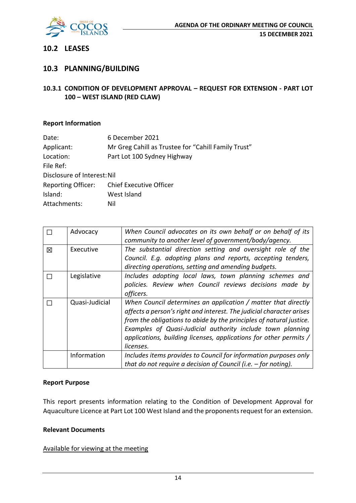

### **10.2 LEASES**

## **10.3 PLANNING/BUILDING**

#### **10.3.1 CONDITION OF DEVELOPMENT APPROVAL – REQUEST FOR EXTENSION - PART LOT 100 – WEST ISLAND (RED CLAW)**

#### **Report Information**

| Date:                       | 6 December 2021                                     |
|-----------------------------|-----------------------------------------------------|
| Applicant:                  | Mr Greg Cahill as Trustee for "Cahill Family Trust" |
| Location:                   | Part Lot 100 Sydney Highway                         |
| File Ref:                   |                                                     |
| Disclosure of Interest: Nil |                                                     |
| <b>Reporting Officer:</b>   | Chief Executive Officer                             |
| Island:                     | West Island                                         |
| Attachments:                | Nil                                                 |

|   | Advocacy       | When Council advocates on its own behalf or on behalf of its         |  |  |  |  |  |
|---|----------------|----------------------------------------------------------------------|--|--|--|--|--|
|   |                | community to another level of government/body/agency.                |  |  |  |  |  |
| 冈 | Executive      | The substantial direction setting and oversight role of the          |  |  |  |  |  |
|   |                | Council. E.g. adopting plans and reports, accepting tenders,         |  |  |  |  |  |
|   |                | directing operations, setting and amending budgets.                  |  |  |  |  |  |
|   | Legislative    | Includes adopting local laws, town planning schemes and              |  |  |  |  |  |
|   |                | policies. Review when Council reviews decisions made by              |  |  |  |  |  |
|   |                | officers.                                                            |  |  |  |  |  |
|   | Quasi-Judicial | When Council determines an application / matter that directly        |  |  |  |  |  |
|   |                | affects a person's right and interest. The judicial character arises |  |  |  |  |  |
|   |                | from the obligations to abide by the principles of natural justice.  |  |  |  |  |  |
|   |                | Examples of Quasi-Judicial authority include town planning           |  |  |  |  |  |
|   |                | applications, building licenses, applications for other permits /    |  |  |  |  |  |
|   |                | licenses.                                                            |  |  |  |  |  |
|   | Information    | Includes items provides to Council for information purposes only     |  |  |  |  |  |
|   |                | that do not require a decision of Council (i.e. $-$ for noting).     |  |  |  |  |  |

#### **Report Purpose**

This report presents information relating to the Condition of Development Approval for Aquaculture Licence at Part Lot 100 West Island and the proponents request for an extension.

#### **Relevant Documents**

#### Available for viewing at the meeting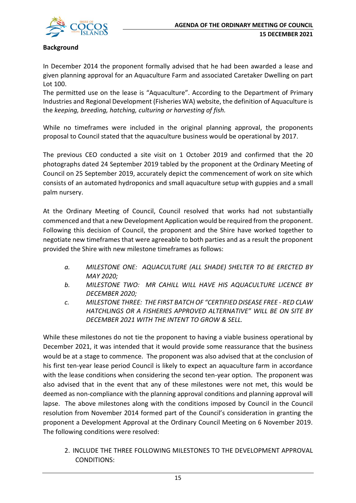

#### **Background**

In December 2014 the proponent formally advised that he had been awarded a lease and given planning approval for an Aquaculture Farm and associated Caretaker Dwelling on part Lot 100.

The permitted use on the lease is "Aquaculture". According to the Department of Primary Industries and Regional Development (Fisheries WA) website, the definition of Aquaculture is the *keeping, breeding, hatching, culturing or harvesting of fish.*

While no timeframes were included in the original planning approval, the proponents proposal to Council stated that the aquaculture business would be operational by 2017.

The previous CEO conducted a site visit on 1 October 2019 and confirmed that the 20 photographs dated 24 September 2019 tabled by the proponent at the Ordinary Meeting of Council on 25 September 2019, accurately depict the commencement of work on site which consists of an automated hydroponics and small aquaculture setup with guppies and a small palm nursery.

At the Ordinary Meeting of Council, Council resolved that works had not substantially commenced and that a new Development Application would be required from the proponent. Following this decision of Council, the proponent and the Shire have worked together to negotiate new timeframes that were agreeable to both parties and as a result the proponent provided the Shire with new milestone timeframes as follows:

- *a. MILESTONE ONE: AQUACULTURE (ALL SHADE) SHELTER TO BE ERECTED BY MAY 2020;*
- *b. MILESTONE TWO: MR CAHILL WILL HAVE HIS AQUACULTURE LICENCE BY DECEMBER 2020;*
- *c. MILESTONE THREE: THE FIRST BATCH OF "CERTIFIED DISEASE FREE - RED CLAW HATCHLINGS OR A FISHERIES APPROVED ALTERNATIVE" WILL BE ON SITE BY DECEMBER 2021 WITH THE INTENT TO GROW & SELL.*

While these milestones do not tie the proponent to having a viable business operational by December 2021, it was intended that it would provide some reassurance that the business would be at a stage to commence. The proponent was also advised that at the conclusion of his first ten-year lease period Council is likely to expect an aquaculture farm in accordance with the lease conditions when considering the second ten-year option. The proponent was also advised that in the event that any of these milestones were not met, this would be deemed as non-compliance with the planning approval conditions and planning approval will lapse. The above milestones along with the conditions imposed by Council in the Council resolution from November 2014 formed part of the Council's consideration in granting the proponent a Development Approval at the Ordinary Council Meeting on 6 November 2019. The following conditions were resolved:

2. INCLUDE THE THREE FOLLOWING MILESTONES TO THE DEVELOPMENT APPROVAL CONDITIONS: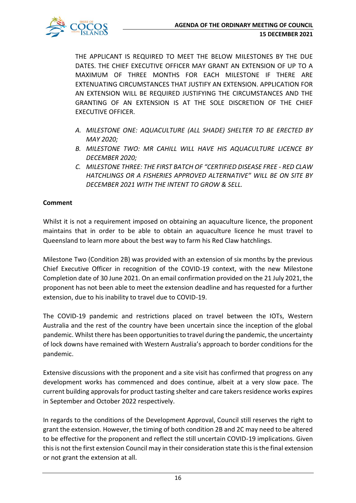THE APPLICANT IS REQUIRED TO MEET THE BELOW MILESTONES BY THE DUE DATES. THE CHIEF EXECUTIVE OFFICER MAY GRANT AN EXTENSION OF UP TO A MAXIMUM OF THREE MONTHS FOR EACH MILESTONE IF THERE ARE EXTENUATING CIRCUMSTANCES THAT JUSTIFY AN EXTENSION. APPLICATION FOR AN EXTENSION WILL BE REQUIRED JUSTIFYING THE CIRCUMSTANCES AND THE GRANTING OF AN EXTENSION IS AT THE SOLE DISCRETION OF THE CHIEF EXECUTIVE OFFICER.

- *A. MILESTONE ONE: AQUACULTURE (ALL SHADE) SHELTER TO BE ERECTED BY MAY 2020;*
- *B. MILESTONE TWO: MR CAHILL WILL HAVE HIS AQUACULTURE LICENCE BY DECEMBER 2020;*
- *C. MILESTONE THREE: THE FIRST BATCH OF "CERTIFIED DISEASE FREE - RED CLAW HATCHLINGS OR A FISHERIES APPROVED ALTERNATIVE" WILL BE ON SITE BY DECEMBER 2021 WITH THE INTENT TO GROW & SELL.*

## **Comment**

Whilst it is not a requirement imposed on obtaining an aquaculture licence, the proponent maintains that in order to be able to obtain an aquaculture licence he must travel to Queensland to learn more about the best way to farm his Red Claw hatchlings.

Milestone Two (Condition 2B) was provided with an extension of six months by the previous Chief Executive Officer in recognition of the COVID-19 context, with the new Milestone Completion date of 30 June 2021. On an email confirmation provided on the 21 July 2021, the proponent has not been able to meet the extension deadline and has requested for a further extension, due to his inability to travel due to COVID-19.

The COVID-19 pandemic and restrictions placed on travel between the IOTs, Western Australia and the rest of the country have been uncertain since the inception of the global pandemic. Whilst there has been opportunities to travel during the pandemic, the uncertainty of lock downs have remained with Western Australia's approach to border conditions for the pandemic.

Extensive discussions with the proponent and a site visit has confirmed that progress on any development works has commenced and does continue, albeit at a very slow pace. The current building approvals for product tasting shelter and care takers residence works expires in September and October 2022 respectively.

In regards to the conditions of the Development Approval, Council still reserves the right to grant the extension. However, the timing of both condition 2B and 2C may need to be altered to be effective for the proponent and reflect the still uncertain COVID-19 implications. Given this is not the first extension Council may in their consideration state this is the final extension or not grant the extension at all.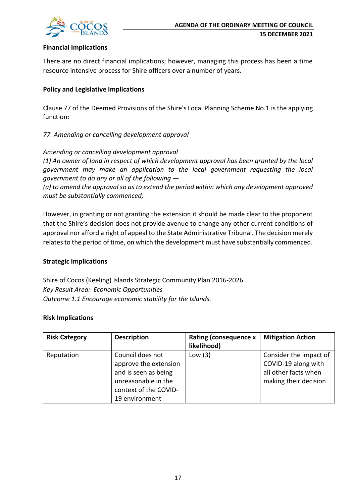

#### **Financial Implications**

There are no direct financial implications; however, managing this process has been a time resource intensive process for Shire officers over a number of years.

#### **Policy and Legislative Implications**

Clause 77 of the Deemed Provisions of the Shire's Local Planning Scheme No.1 is the applying function:

#### *77. Amending or cancelling development approval*

*Amending or cancelling development approval*

*(1) An owner of land in respect of which development approval has been granted by the local government may make an application to the local government requesting the local government to do any or all of the following —*

*(a) to amend the approval so as to extend the period within which any development approved must be substantially commenced;*

However, in granting or not granting the extension it should be made clear to the proponent that the Shire's decision does not provide avenue to change any other current conditions of approval nor afford a right of appeal to the State Administrative Tribunal. The decision merely relates to the period of time, on which the development must have substantially commenced.

#### **Strategic Implications**

Shire of Cocos (Keeling) Islands Strategic Community Plan 2016-2026 *Key Result Area: Economic Opportunities Outcome 1.1 Encourage economic stability for the Islands.*

#### **Risk Implications**

| <b>Risk Category</b> | <b>Description</b>                                                                                                                  | <b>Rating (consequence x</b><br>likelihood) | <b>Mitigation Action</b>                                                                       |
|----------------------|-------------------------------------------------------------------------------------------------------------------------------------|---------------------------------------------|------------------------------------------------------------------------------------------------|
| Reputation           | Council does not<br>approve the extension<br>and is seen as being<br>unreasonable in the<br>context of the COVID-<br>19 environment | Low $(3)$                                   | Consider the impact of<br>COVID-19 along with<br>all other facts when<br>making their decision |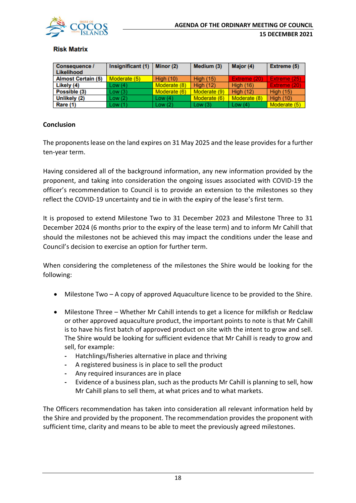

#### **Risk Matrix**

| Consequence /<br>Likelihood | Insignificant (1) | Minor (2)        | Medium (3)       | Major (4)        | Extreme (5)      |
|-----------------------------|-------------------|------------------|------------------|------------------|------------------|
| <b>Almost Certain (5)</b>   | Moderate (5)      | <b>High (10)</b> | <b>High (15)</b> | Extreme (20)     | Extreme (25)     |
| Likely (4)                  | Low(4)            | Moderate (8)     | <b>High (12)</b> | <b>High (16)</b> | Extreme (20)     |
| Possible (3)                | Low(3)            | Moderate (6)     | Moderate (9)     | <b>High (12)</b> | <b>High (15)</b> |
| Unlikely (2)                | Low(2)            | Low $(4)$        | Moderate (6)     | Moderate (8)     | <b>High (10)</b> |
| Rare (1)                    | Low(1)            | Low $(2)$        | Low $(3)$        | Low $(4)$        | Moderate (5)     |

#### **Conclusion**

The proponents lease on the land expires on 31 May 2025 and the lease provides for a further ten-year term.

Having considered all of the background information, any new information provided by the proponent, and taking into consideration the ongoing issues associated with COVID-19 the officer's recommendation to Council is to provide an extension to the milestones so they reflect the COVID-19 uncertainty and tie in with the expiry of the lease's first term.

It is proposed to extend Milestone Two to 31 December 2023 and Milestone Three to 31 December 2024 (6 months prior to the expiry of the lease term) and to inform Mr Cahill that should the milestones not be achieved this may impact the conditions under the lease and Council's decision to exercise an option for further term.

When considering the completeness of the milestones the Shire would be looking for the following:

- Milestone Two A copy of approved Aquaculture licence to be provided to the Shire.
- Milestone Three Whether Mr Cahill intends to get a licence for milkfish or Redclaw or other approved aquaculture product, the important points to note is that Mr Cahill is to have his first batch of approved product on site with the intent to grow and sell. The Shire would be looking for sufficient evidence that Mr Cahill is ready to grow and sell, for example:
	- **-** Hatchlings/fisheries alternative in place and thriving
	- **-** A registered business is in place to sell the product
	- **-** Any required insurances are in place
	- **-** Evidence of a business plan, such as the products Mr Cahill is planning to sell, how Mr Cahill plans to sell them, at what prices and to what markets.

The Officers recommendation has taken into consideration all relevant information held by the Shire and provided by the proponent. The recommendation provides the proponent with sufficient time, clarity and means to be able to meet the previously agreed milestones.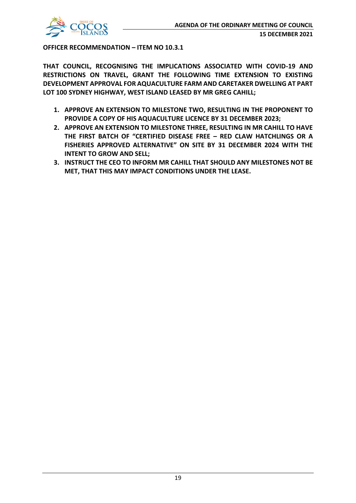

**OFFICER RECOMMENDATION – ITEM NO 10.3.1**

**THAT COUNCIL, RECOGNISING THE IMPLICATIONS ASSOCIATED WITH COVID-19 AND RESTRICTIONS ON TRAVEL, GRANT THE FOLLOWING TIME EXTENSION TO EXISTING DEVELOPMENT APPROVAL FOR AQUACULTURE FARM AND CARETAKER DWELLING AT PART LOT 100 SYDNEY HIGHWAY, WEST ISLAND LEASED BY MR GREG CAHILL;**

- **1. APPROVE AN EXTENSION TO MILESTONE TWO, RESULTING IN THE PROPONENT TO PROVIDE A COPY OF HIS AQUACULTURE LICENCE BY 31 DECEMBER 2023;**
- **2. APPROVE AN EXTENSION TO MILESTONE THREE, RESULTING IN MR CAHILL TO HAVE THE FIRST BATCH OF "CERTIFIED DISEASE FREE – RED CLAW HATCHLINGS OR A FISHERIES APPROVED ALTERNATIVE" ON SITE BY 31 DECEMBER 2024 WITH THE INTENT TO GROW AND SELL;**
- **3. INSTRUCT THE CEO TO INFORM MR CAHILL THAT SHOULD ANY MILESTONES NOT BE MET, THAT THIS MAY IMPACT CONDITIONS UNDER THE LEASE.**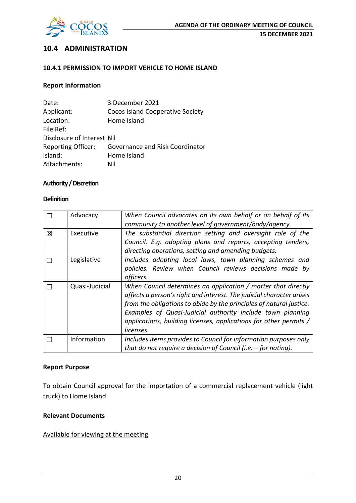

## **10.4 ADMINISTRATION**

#### **10.4.1 PERMISSION TO IMPORT VEHICLE TO HOME ISLAND**

#### **Report Information**

| Date:                       | 3 December 2021                        |
|-----------------------------|----------------------------------------|
| Applicant:                  | Cocos Island Cooperative Society       |
| Location:                   | Home Island                            |
| File Ref:                   |                                        |
| Disclosure of Interest: Nil |                                        |
| <b>Reporting Officer:</b>   | <b>Governance and Risk Coordinator</b> |
| Island:                     | Home Island                            |
| Attachments:                | Nil                                    |

#### **Authority / Discretion**

#### **Definition**

|   | Advocacy       | When Council advocates on its own behalf or on behalf of its<br>community to another level of government/body/agency.                                                                                                                                                                                                                                        |
|---|----------------|--------------------------------------------------------------------------------------------------------------------------------------------------------------------------------------------------------------------------------------------------------------------------------------------------------------------------------------------------------------|
| 冈 | Executive      | The substantial direction setting and oversight role of the<br>Council. E.g. adopting plans and reports, accepting tenders,<br>directing operations, setting and amending budgets.                                                                                                                                                                           |
|   | Legislative    | Includes adopting local laws, town planning schemes and<br>policies. Review when Council reviews decisions made by<br>officers.                                                                                                                                                                                                                              |
|   | Quasi-Judicial | When Council determines an application / matter that directly<br>affects a person's right and interest. The judicial character arises<br>from the obligations to abide by the principles of natural justice.<br>Examples of Quasi-Judicial authority include town planning<br>applications, building licenses, applications for other permits /<br>licenses. |
|   | Information    | Includes items provides to Council for information purposes only<br>that do not require a decision of Council (i.e. $-$ for noting).                                                                                                                                                                                                                         |

#### **Report Purpose**

To obtain Council approval for the importation of a commercial replacement vehicle (light truck) to Home Island.

#### **Relevant Documents**

#### Available for viewing at the meeting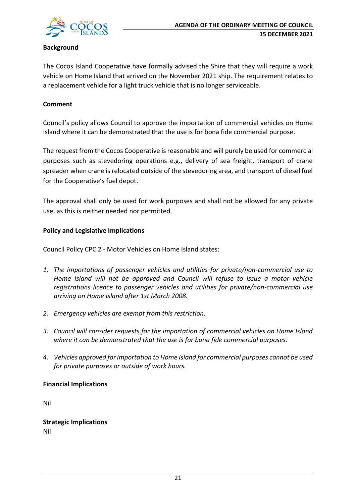

#### **Background**

The Cocos Island Cooperative have formally advised the Shire that they will require a work vehicle on Home Island that arrived on the November 2021 ship. The requirement relates to a replacement vehicle for a light truck vehicle that is no longer serviceable.

#### **Comment**

Council's policy allows Council to approve the importation of commercial vehicles on Home Island where it can be demonstrated that the use is for bona fide commercial purpose.

The request from the Cocos Cooperative is reasonable and will purely be used for commercial purposes such as stevedoring operations e.g., delivery of sea freight, transport of crane spreader when crane is relocated outside of the stevedoring area, and transport of diesel fuel for the Cooperative's fuel depot.

The approval shall only be used for work purposes and shall not be allowed for any private use, as this is neither needed nor permitted.

#### **Policy and Legislative Implications**

Council Policy CPC 2 - Motor Vehicles on Home Island states:

- *1. The importations of passenger vehicles and utilities for private/non-commercial use to Home Island will not be approved and Council will refuse to issue a motor vehicle registrations licence to passenger vehicles and utilities for private/non-commercial use arriving on Home Island after 1st March 2008.*
- *2. Emergency vehicles are exempt from this restriction.*
- *3. Council will consider requests for the importation of commercial vehicles on Home Island where it can be demonstrated that the use is for bona fide commercial purposes.*
- *4. Vehicles approved for importation to Home Island for commercial purposes cannot be used for private purposes or outside of work hours.*

#### **Financial Implications**

Nil

**Strategic Implications** Nil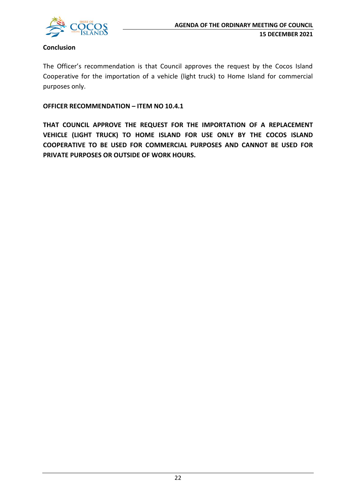

#### **Conclusion**

The Officer's recommendation is that Council approves the request by the Cocos Island Cooperative for the importation of a vehicle (light truck) to Home Island for commercial purposes only.

**OFFICER RECOMMENDATION – ITEM NO 10.4.1**

**THAT COUNCIL APPROVE THE REQUEST FOR THE IMPORTATION OF A REPLACEMENT VEHICLE (LIGHT TRUCK) TO HOME ISLAND FOR USE ONLY BY THE COCOS ISLAND COOPERATIVE TO BE USED FOR COMMERCIAL PURPOSES AND CANNOT BE USED FOR PRIVATE PURPOSES OR OUTSIDE OF WORK HOURS.**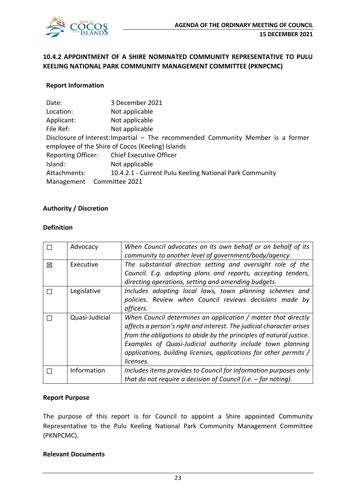

## **10.4.2 APPOINTMENT OF A SHIRE NOMINATED COMMUNITY REPRESENTATIVE TO PULU KEELING NATIONAL PARK COMMUNITY MANAGEMENT COMMITTEE (PKNPCMC)**

#### **Report Information**

| Date:                     | 3 December 2021                                                                  |
|---------------------------|----------------------------------------------------------------------------------|
| Location:                 | Not applicable                                                                   |
| Applicant:                | Not applicable                                                                   |
| File Ref:                 | Not applicable                                                                   |
|                           | Disclosure of Interest: Impartial – The recommended Community Member is a former |
|                           | employee of the Shire of Cocos (Keeling) Islands                                 |
| <b>Reporting Officer:</b> | <b>Chief Executive Officer</b>                                                   |
| Island:                   | Not applicable                                                                   |
| Attachments:              | 10.4.2.1 - Current Pulu Keeling National Park Community                          |
| Management                | Committee 2021                                                                   |

#### **Authority / Discretion**

#### **Definition**

|   | Advocacy       | When Council advocates on its own behalf or on behalf of its<br>community to another level of government/body/agency.                                                                                                                                                                                                                                        |
|---|----------------|--------------------------------------------------------------------------------------------------------------------------------------------------------------------------------------------------------------------------------------------------------------------------------------------------------------------------------------------------------------|
| 冈 | Executive      | The substantial direction setting and oversight role of the<br>Council. E.g. adopting plans and reports, accepting tenders,<br>directing operations, setting and amending budgets.                                                                                                                                                                           |
| П | Legislative    | Includes adopting local laws, town planning schemes and<br>policies. Review when Council reviews decisions made by<br>officers.                                                                                                                                                                                                                              |
|   | Quasi-Judicial | When Council determines an application / matter that directly<br>affects a person's right and interest. The judicial character arises<br>from the obligations to abide by the principles of natural justice.<br>Examples of Quasi-Judicial authority include town planning<br>applications, building licenses, applications for other permits /<br>licenses. |
|   | Information    | Includes items provides to Council for information purposes only<br>that do not require a decision of Council (i.e. $-$ for noting).                                                                                                                                                                                                                         |

#### **Report Purpose**

The purpose of this report is for Council to appoint a Shire appointed Community Representative to the Pulu Keeling National Park Community Management Committee (PKNPCMC).

#### **Relevant Documents**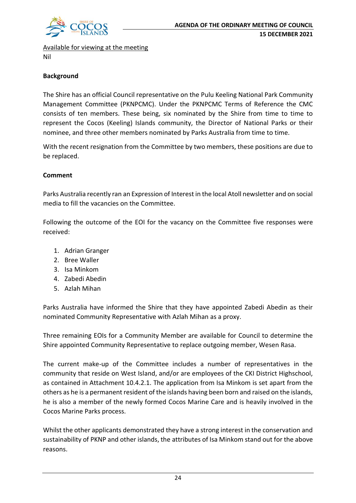

Available for viewing at the meeting Nil

### **Background**

The Shire has an official Council representative on the Pulu Keeling National Park Community Management Committee (PKNPCMC). Under the PKNPCMC Terms of Reference the CMC consists of ten members. These being, six nominated by the Shire from time to time to represent the Cocos (Keeling) Islands community, the Director of National Parks or their nominee, and three other members nominated by Parks Australia from time to time.

With the recent resignation from the Committee by two members, these positions are due to be replaced.

#### **Comment**

Parks Australia recently ran an Expression of Interest in the local Atoll newsletter and on social media to fill the vacancies on the Committee.

Following the outcome of the EOI for the vacancy on the Committee five responses were received:

- 1. Adrian Granger
- 2. Bree Waller
- 3. Isa Minkom
- 4. Zabedi Abedin
- 5. Azlah Mihan

Parks Australia have informed the Shire that they have appointed Zabedi Abedin as their nominated Community Representative with Azlah Mihan as a proxy.

Three remaining EOIs for a Community Member are available for Council to determine the Shire appointed Community Representative to replace outgoing member, Wesen Rasa.

The current make-up of the Committee includes a number of representatives in the community that reside on West Island, and/or are employees of the CKI District Highschool, as contained in Attachment 10.4.2.1. The application from Isa Minkom is set apart from the others as he is a permanent resident of the islands having been born and raised on the islands, he is also a member of the newly formed Cocos Marine Care and is heavily involved in the Cocos Marine Parks process.

Whilst the other applicants demonstrated they have a strong interest in the conservation and sustainability of PKNP and other islands, the attributes of Isa Minkom stand out for the above reasons.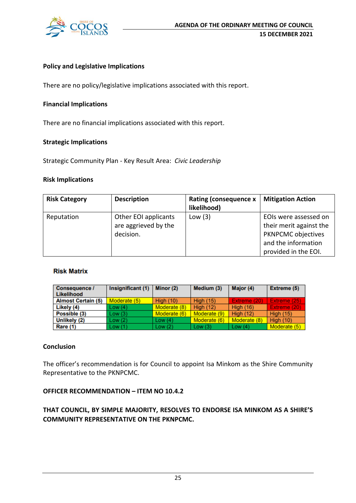

#### **Policy and Legislative Implications**

There are no policy/legislative implications associated with this report.

#### **Financial Implications**

There are no financial implications associated with this report.

#### **Strategic Implications**

Strategic Community Plan - Key Result Area: *Civic Leadership*

#### **Risk Implications**

| <b>Risk Category</b> | <b>Description</b>                                        | <b>Rating (consequence x</b><br>likelihood) | <b>Mitigation Action</b>                                                                                                     |
|----------------------|-----------------------------------------------------------|---------------------------------------------|------------------------------------------------------------------------------------------------------------------------------|
| Reputation           | Other EOI applicants<br>are aggrieved by the<br>decision. | Low $(3)$                                   | EOIs were assessed on<br>their merit against the<br><b>PKNPCMC objectives</b><br>and the information<br>provided in the EOI. |

#### **Risk Matrix**

| <b>Consequence /</b><br>Likelihood | Insignificant (1) | Minor (2)    | Medium (3)       | Major (4)        | Extreme (5)      |
|------------------------------------|-------------------|--------------|------------------|------------------|------------------|
| <b>Almost Certain (5)</b>          | Moderate (5)      | High $(10)$  | <b>High (15)</b> | Extreme (20)     | Extreme (25)     |
| Likely (4)                         | Low(4)            | Moderate (8) | <b>High (12)</b> | <b>High (16)</b> | Extreme (20)     |
| Possible (3)                       | Low(3)            | Moderate (6) | Moderate (9)     | <b>High (12)</b> | <b>High (15)</b> |
| Unlikely (2)                       | Low(2)            | Low $(4)$    | Moderate (6)     | Moderate (8)     | High $(10)$      |
| Rare (1)                           | Low(1)            | Low(2)       | Low $(3)$        | Low $(4)$        | Moderate (5)     |

#### **Conclusion**

The officer's recommendation is for Council to appoint Isa Minkom as the Shire Community Representative to the PKNPCMC.

#### **OFFICER RECOMMENDATION – ITEM NO 10.4.2**

## **THAT COUNCIL, BY SIMPLE MAJORITY, RESOLVES TO ENDORSE ISA MINKOM AS A SHIRE'S COMMUNITY REPRESENTATIVE ON THE PKNPCMC.**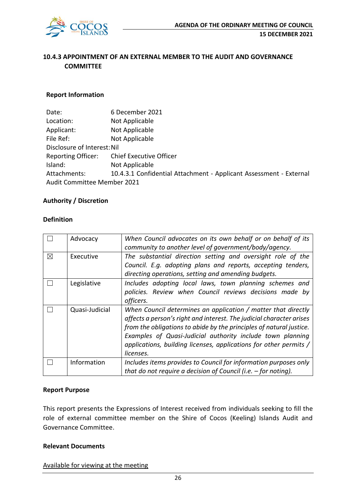

## **10.4.3 APPOINTMENT OF AN EXTERNAL MEMBER TO THE AUDIT AND GOVERNANCE COMMITTEE**

#### **Report Information**

| Date:                       | 6 December 2021                                                    |  |  |  |
|-----------------------------|--------------------------------------------------------------------|--|--|--|
| Location:                   | Not Applicable                                                     |  |  |  |
| Applicant:                  | Not Applicable                                                     |  |  |  |
| File Ref:                   | Not Applicable                                                     |  |  |  |
| Disclosure of Interest: Nil |                                                                    |  |  |  |
| <b>Reporting Officer:</b>   | <b>Chief Executive Officer</b>                                     |  |  |  |
| Island:                     | Not Applicable                                                     |  |  |  |
| Attachments:                | 10.4.3.1 Confidential Attachment - Applicant Assessment - External |  |  |  |
| Audit Committee Member 2021 |                                                                    |  |  |  |

#### **Authority / Discretion**

#### **Definition**

|          | Advocacy       | When Council advocates on its own behalf or on behalf of its         |  |  |  |  |
|----------|----------------|----------------------------------------------------------------------|--|--|--|--|
|          |                | community to another level of government/body/agency.                |  |  |  |  |
| $\times$ | Executive      | The substantial direction setting and oversight role of the          |  |  |  |  |
|          |                | Council. E.g. adopting plans and reports, accepting tenders,         |  |  |  |  |
|          |                | directing operations, setting and amending budgets.                  |  |  |  |  |
|          | Legislative    | Includes adopting local laws, town planning schemes and              |  |  |  |  |
|          |                | policies. Review when Council reviews decisions made by              |  |  |  |  |
|          |                | officers.                                                            |  |  |  |  |
|          | Quasi-Judicial | When Council determines an application / matter that directly        |  |  |  |  |
|          |                | affects a person's right and interest. The judicial character arises |  |  |  |  |
|          |                | from the obligations to abide by the principles of natural justice.  |  |  |  |  |
|          |                | Examples of Quasi-Judicial authority include town planning           |  |  |  |  |
|          |                | applications, building licenses, applications for other permits /    |  |  |  |  |
|          |                | licenses.                                                            |  |  |  |  |
|          | Information    | Includes items provides to Council for information purposes only     |  |  |  |  |
|          |                | that do not require a decision of Council (i.e. $-$ for noting).     |  |  |  |  |

#### **Report Purpose**

This report presents the Expressions of Interest received from individuals seeking to fill the role of external committee member on the Shire of Cocos (Keeling) Islands Audit and Governance Committee.

#### **Relevant Documents**

Available for viewing at the meeting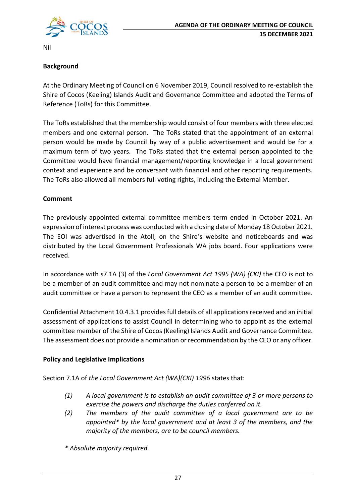

Nil

### **Background**

At the Ordinary Meeting of Council on 6 November 2019, Council resolved to re-establish the Shire of Cocos (Keeling) Islands Audit and Governance Committee and adopted the Terms of Reference (ToRs) for this Committee.

The ToRs established that the membership would consist of four members with three elected members and one external person. The ToRs stated that the appointment of an external person would be made by Council by way of a public advertisement and would be for a maximum term of two years. The ToRs stated that the external person appointed to the Committee would have financial management/reporting knowledge in a local government context and experience and be conversant with financial and other reporting requirements. The ToRs also allowed all members full voting rights, including the External Member.

#### **Comment**

The previously appointed external committee members term ended in October 2021. An expression of interest process was conducted with a closing date of Monday 18 October 2021. The EOI was advertised in the Atoll, on the Shire's website and noticeboards and was distributed by the Local Government Professionals WA jobs board. Four applications were received.

In accordance with s7.1A (3) of the *Local Government Act 1995 (WA) (CKI)* the CEO is not to be a member of an audit committee and may not nominate a person to be a member of an audit committee or have a person to represent the CEO as a member of an audit committee.

Confidential Attachment 10.4.3.1 provides full details of all applications received and an initial assessment of applications to assist Council in determining who to appoint as the external committee member of the Shire of Cocos (Keeling) Islands Audit and Governance Committee. The assessment does not provide a nomination or recommendation by the CEO or any officer.

#### **Policy and Legislative Implications**

Section 7.1A of *the Local Government Act (WA)(CKI) 1996* states that:

- *(1) A local government is to establish an audit committee of 3 or more persons to exercise the powers and discharge the duties conferred on it.*
- *(2) The members of the audit committee of a local government are to be appointed\* by the local government and at least 3 of the members, and the majority of the members, are to be council members.*
- *\* Absolute majority required.*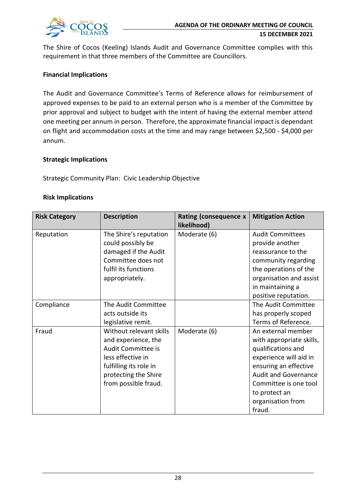

The Shire of Cocos (Keeling) Islands Audit and Governance Committee complies with this requirement in that three members of the Committee are Councillors.

#### **Financial Implications**

The Audit and Governance Committee's Terms of Reference allows for reimbursement of approved expenses to be paid to an external person who is a member of the Committee by prior approval and subject to budget with the intent of having the external member attend one meeting per annum in person. Therefore, the approximate financial impact is dependant on flight and accommodation costs at the time and may range between \$2,500 - \$4,000 per annum.

#### **Strategic Implications**

Strategic Community Plan: Civic Leadership Objective

#### **Risk Implications**

| <b>Risk Category</b> | <b>Description</b>      | Rating (consequence x | <b>Mitigation Action</b>    |  |
|----------------------|-------------------------|-----------------------|-----------------------------|--|
|                      |                         | likelihood)           |                             |  |
| Reputation           | The Shire's reputation  | Moderate (6)          | <b>Audit Committees</b>     |  |
|                      | could possibly be       |                       | provide another             |  |
|                      | damaged if the Audit    |                       | reassurance to the          |  |
|                      | Committee does not      |                       | community regarding         |  |
|                      | fulfil its functions    |                       | the operations of the       |  |
|                      | appropriately.          |                       | organisation and assist     |  |
|                      |                         |                       | in maintaining a            |  |
|                      |                         |                       | positive reputation.        |  |
| Compliance           | The Audit Committee     |                       | The Audit Committee         |  |
|                      | acts outside its        |                       | has properly scoped         |  |
|                      | legislative remit.      |                       | Terms of Reference.         |  |
| Fraud                | Without relevant skills | Moderate (6)          | An external member          |  |
|                      | and experience, the     |                       | with appropriate skills,    |  |
|                      | Audit Committee is      |                       | qualifications and          |  |
|                      | less effective in       |                       | experience will aid in      |  |
|                      | fulfilling its role in  |                       | ensuring an effective       |  |
|                      | protecting the Shire    |                       | <b>Audit and Governance</b> |  |
|                      | from possible fraud.    |                       | Committee is one tool       |  |
|                      |                         |                       | to protect an               |  |
|                      |                         |                       | organisation from           |  |
|                      |                         |                       | fraud.                      |  |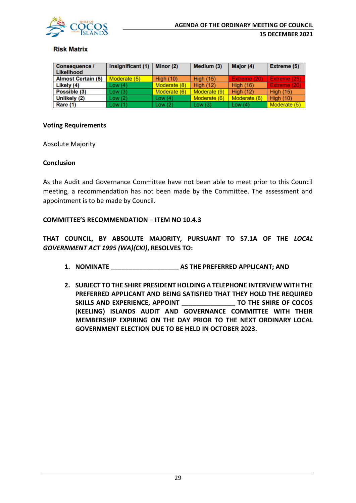

#### **Risk Matrix**

| <b>Consequence /</b><br>Likelihood | Insignificant (1) | Minor (2)        | Medium (3)       | Major (4)        | Extreme (5)      |
|------------------------------------|-------------------|------------------|------------------|------------------|------------------|
| <b>Almost Certain (5)</b>          | Moderate (5)      | <b>High (10)</b> | <b>High (15)</b> | Extreme (20)     | Extreme (25)     |
| Likely (4)                         | Low(4)            | Moderate (8)     | <b>High (12)</b> | <b>High (16)</b> | Extreme (20)     |
| Possible (3)                       | Low(3)            | Moderate (6)     | Moderate (9)     | <b>High (12)</b> | <b>High (15)</b> |
| Unlikely (2)                       | Low(2)            | Low $(4)$        | Moderate (6)     | Moderate (8)     | <b>High (10)</b> |
| Rare (1)                           | Low(1)            | Low(2)           | Low $(3)$        | Low $(4)$        | Moderate (5)     |

#### **Voting Requirements**

Absolute Majority

#### **Conclusion**

As the Audit and Governance Committee have not been able to meet prior to this Council meeting, a recommendation has not been made by the Committee. The assessment and appointment is to be made by Council.

#### **COMMITTEE'S RECOMMENDATION – ITEM NO 10.4.3**

**THAT COUNCIL, BY ABSOLUTE MAJORITY, PURSUANT TO S7.1A OF THE** *LOCAL GOVERNMENT ACT 1995 (WA)(CKI)***, RESOLVES TO:**

- **1. NOMINATE \_\_\_\_\_\_\_\_\_\_\_\_\_\_\_\_\_\_\_ AS THE PREFERRED APPLICANT; AND**
- **2. SUBJECT TO THE SHIRE PRESIDENT HOLDING A TELEPHONE INTERVIEW WITH THE PREFERRED APPLICANT AND BEING SATISFIED THAT THEY HOLD THE REQUIRED SKILLS AND EXPERIENCE, APPOINT \_\_\_\_\_\_\_\_\_\_\_\_\_\_\_ TO THE SHIRE OF COCOS (KEELING) ISLANDS AUDIT AND GOVERNANCE COMMITTEE WITH THEIR MEMBERSHIP EXPIRING ON THE DAY PRIOR TO THE NEXT ORDINARY LOCAL GOVERNMENT ELECTION DUE TO BE HELD IN OCTOBER 2023.**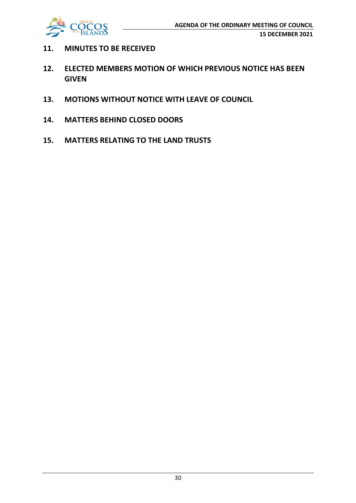

- **11. MINUTES TO BE RECEIVED**
- **12. ELECTED MEMBERS MOTION OF WHICH PREVIOUS NOTICE HAS BEEN GIVEN**
- **13. MOTIONS WITHOUT NOTICE WITH LEAVE OF COUNCIL**
- **14. MATTERS BEHIND CLOSED DOORS**
- **15. MATTERS RELATING TO THE LAND TRUSTS**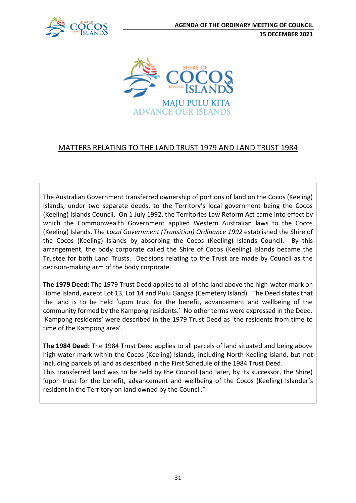



## MATTERS RELATING TO THE LAND TRUST 1979 AND LAND TRUST 1984

The Australian Government transferred ownership of portions of land on the Cocos (Keeling) Islands, under two separate deeds, to the Territory's local government being the Cocos (Keeling) Islands Council. On 1 July 1992, the Territories Law Reform Act came into effect by which the Commonwealth Government applied Western Australian laws to the Cocos (Keeling) Islands. The *Local Government (Transition) Ordinance 1992* established the Shire of the Cocos (Keeling) Islands by absorbing the Cocos (Keeling) Islands Council. By this arrangement, the body corporate called the Shire of Cocos (Keeling) Islands became the Trustee for both Land Trusts. Decisions relating to the Trust are made by Council as the decision-making arm of the body corporate.

**The 1979 Deed:** The 1979 Trust Deed applies to all of the land above the high-water mark on Home Island, except Lot 13, Lot 14 and Pulu Gangsa (Cemetery Island). The Deed states that the land is to be held 'upon trust for the benefit, advancement and wellbeing of the community formed by the Kampong residents.' No other terms were expressed in the Deed. 'Kampong residents' were described in the 1979 Trust Deed as 'the residents from time to time of the Kampong area'.

**The 1984 Deed:** The 1984 Trust Deed applies to all parcels of land situated and being above high-water mark within the Cocos (Keeling) Islands, including North Keeling Island, but not including parcels of land as described in the First Schedule of the 1984 Trust Deed. This transferred land was to be held by the Council (and later, by its successor, the Shire) 'upon trust for the benefit, advancement and wellbeing of the Cocos (Keeling) Islander's resident in the Territory on land owned by the Council."